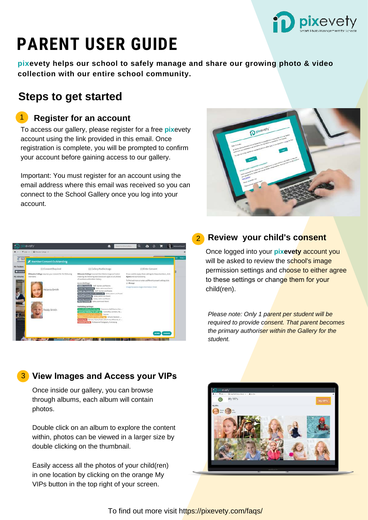

# **PARENT USER GUIDE**

**pixevety helps our school to safely manage and share our growing photo & video collection with our entire school community.**

## **Steps to get started**

### 1 **Register for an account**

To access our gallery, please register for a free **pix**evety account using the link provided in this email. Once registration is complete, you will be prompted to confirm your account before gaining access to our gallery.

Important: You must register for an account using the email address where this email was received so you can connect to the School Gallery once you log into your account.





#### 2 **Review your child's consent**

Once logged into your **pixevety** account you will be asked to review the school's image permission settings and choose to either agree to these settings or change them for your child(ren).

*Please note: Only 1 parent per student will be required to provide consent. That parent becomes the primary authoriser within the Gallery for the student.*

## 3 **View Images and Access your VIPs**

Once inside our gallery, you can browse through albums, each album will contain photos.

Double click on an album to explore the content within, photos can be viewed in a larger size by double clicking on the thumbnail.

Easily access all the photos of your child(ren) in one location by clicking on the orange My VIPs button in the top right of your screen.



To find out more visit https://pixevety.com/faqs/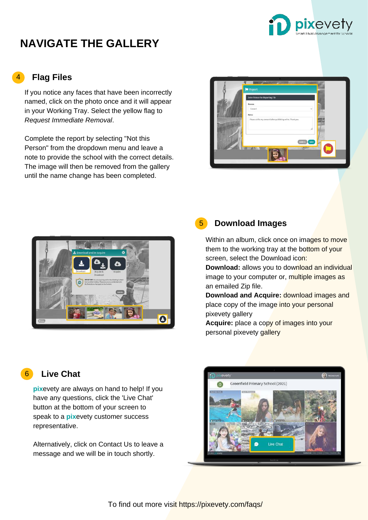

# **NAVIGATE THE GALLERY**

#### **Flag Files** 4

If you notice any faces that have been incorrectly named, click on the photo once and it will appear in your Working Tray. Select the yellow flag to *Request Immediate Removal*.

Complete the report by selecting "Not this Person" from the dropdown menu and leave a note to provide the school with the correct details. The image will then be removed from the gallery until the name change has been completed.





#### **Download Images**

5

Within an album, click once on images to move them to the working tray at the bottom of your screen, select the Download icon:

**Download:** allows you to download an individual image to your computer or, multiple images as an emailed Zip file.

**Download and Acquire:** download images and place copy of the image into your personal pixevety gallery

**Acquire:** place a copy of images into your personal pixevety gallery

#### **Live Chat** 6

**pix**evety are always on hand to help! If you have any questions, click the 'Live Chat' button at the bottom of your screen to speak to a **pix**evety customer success representative.

Alternatively, click on Contact Us to leave a message and we will be in touch shortly.